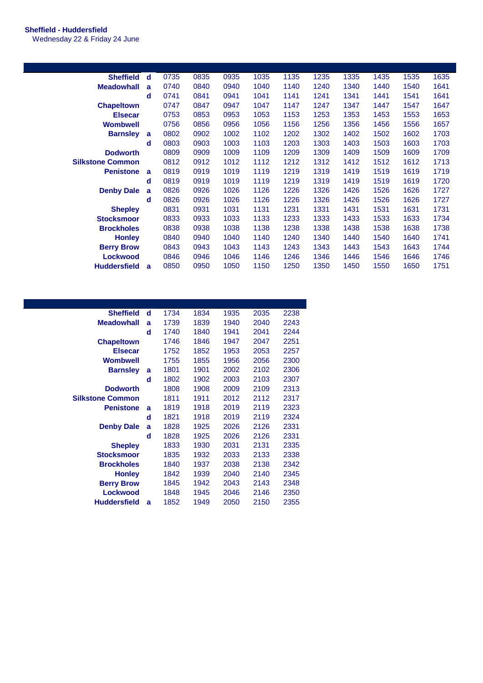## **Sheffield - Huddersfield**

Wednesday 22 & Friday 24 June

| <b>Sheffield</b>        | d            | 0735 | 0835 | 0935 | 1035 | 1135 | 1235 | 1335 | 1435 | 1535 | 1635 |
|-------------------------|--------------|------|------|------|------|------|------|------|------|------|------|
| <b>Meadowhall</b>       | a            | 0740 | 0840 | 0940 | 1040 | 1140 | 1240 | 1340 | 1440 | 1540 | 1641 |
|                         | d            | 0741 | 0841 | 0941 | 1041 | 1141 | 1241 | 1341 | 1441 | 1541 | 1641 |
| <b>Chapeltown</b>       |              | 0747 | 0847 | 0947 | 1047 | 1147 | 1247 | 1347 | 1447 | 1547 | 1647 |
| <b>Elsecar</b>          |              | 0753 | 0853 | 0953 | 1053 | 1153 | 1253 | 1353 | 1453 | 1553 | 1653 |
| <b>Wombwell</b>         |              | 0756 | 0856 | 0956 | 1056 | 1156 | 1256 | 1356 | 1456 | 1556 | 1657 |
| <b>Barnsley</b>         | a            | 0802 | 0902 | 1002 | 1102 | 1202 | 1302 | 1402 | 1502 | 1602 | 1703 |
|                         | d            | 0803 | 0903 | 1003 | 1103 | 1203 | 1303 | 1403 | 1503 | 1603 | 1703 |
| <b>Dodworth</b>         |              | 0809 | 0909 | 1009 | 1109 | 1209 | 1309 | 1409 | 1509 | 1609 | 1709 |
| <b>Silkstone Common</b> |              | 0812 | 0912 | 1012 | 1112 | 1212 | 1312 | 1412 | 1512 | 1612 | 1713 |
| <b>Penistone</b>        | a            | 0819 | 0919 | 1019 | 1119 | 1219 | 1319 | 1419 | 1519 | 1619 | 1719 |
|                         | d            | 0819 | 0919 | 1019 | 1119 | 1219 | 1319 | 1419 | 1519 | 1619 | 1720 |
| <b>Denby Dale</b>       | $\mathbf{a}$ | 0826 | 0926 | 1026 | 1126 | 1226 | 1326 | 1426 | 1526 | 1626 | 1727 |
|                         | d            | 0826 | 0926 | 1026 | 1126 | 1226 | 1326 | 1426 | 1526 | 1626 | 1727 |
| <b>Shepley</b>          |              | 0831 | 0931 | 1031 | 1131 | 1231 | 1331 | 1431 | 1531 | 1631 | 1731 |
| <b>Stocksmoor</b>       |              | 0833 | 0933 | 1033 | 1133 | 1233 | 1333 | 1433 | 1533 | 1633 | 1734 |
| <b>Brockholes</b>       |              | 0838 | 0938 | 1038 | 1138 | 1238 | 1338 | 1438 | 1538 | 1638 | 1738 |
| <b>Honley</b>           |              | 0840 | 0940 | 1040 | 1140 | 1240 | 1340 | 1440 | 1540 | 1640 | 1741 |
| <b>Berry Brow</b>       |              | 0843 | 0943 | 1043 | 1143 | 1243 | 1343 | 1443 | 1543 | 1643 | 1744 |
| <b>Lockwood</b>         |              | 0846 | 0946 | 1046 | 1146 | 1246 | 1346 | 1446 | 1546 | 1646 | 1746 |
| <b>Huddersfield</b>     | $\mathbf{a}$ | 0850 | 0950 | 1050 | 1150 | 1250 | 1350 | 1450 | 1550 | 1650 | 1751 |
|                         |              |      |      |      |      |      |      |      |      |      |      |

| <b>Sheffield</b>        | d | 1734 | 1834 | 1935 | 2035 | 2238 |
|-------------------------|---|------|------|------|------|------|
| <b>Meadowhall</b>       | a | 1739 | 1839 | 1940 | 2040 | 2243 |
|                         | d | 1740 | 1840 | 1941 | 2041 | 2244 |
| <b>Chapeltown</b>       |   | 1746 | 1846 | 1947 | 2047 | 2251 |
| <b>Elsecar</b>          |   | 1752 | 1852 | 1953 | 2053 | 2257 |
| <b>Wombwell</b>         |   | 1755 | 1855 | 1956 | 2056 | 2300 |
| <b>Barnsley</b>         | a | 1801 | 1901 | 2002 | 2102 | 2306 |
|                         | d | 1802 | 1902 | 2003 | 2103 | 2307 |
| <b>Dodworth</b>         |   | 1808 | 1908 | 2009 | 2109 | 2313 |
| <b>Silkstone Common</b> |   | 1811 | 1911 | 2012 | 2112 | 2317 |
| <b>Penistone</b>        | a | 1819 | 1918 | 2019 | 2119 | 2323 |
|                         | d | 1821 | 1918 | 2019 | 2119 | 2324 |
| <b>Denby Dale</b>       | a | 1828 | 1925 | 2026 | 2126 | 2331 |
|                         | d | 1828 | 1925 | 2026 | 2126 | 2331 |
| <b>Shepley</b>          |   | 1833 | 1930 | 2031 | 2131 | 2335 |
| <b>Stocksmoor</b>       |   | 1835 | 1932 | 2033 | 2133 | 2338 |
| <b>Brockholes</b>       |   | 1840 | 1937 | 2038 | 2138 | 2342 |
| <b>Honley</b>           |   | 1842 | 1939 | 2040 | 2140 | 2345 |
| <b>Berry Brow</b>       |   | 1845 | 1942 | 2043 | 2143 | 2348 |
| <b>Lockwood</b>         |   | 1848 | 1945 | 2046 | 2146 | 2350 |
| <b>Huddersfield</b>     | a | 1852 | 1949 | 2050 | 2150 | 2355 |